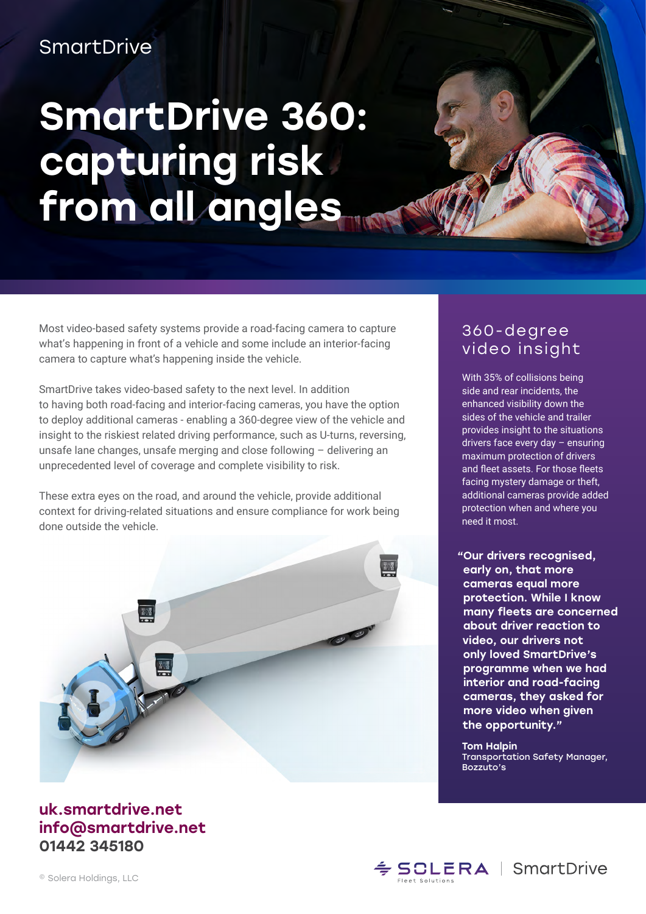## SmartDrive

## SmartDrive 360: capturing risk from all angles

Most video-based safety systems provide a road-facing camera to capture what's happening in front of a vehicle and some include an interior-facing camera to capture what's happening inside the vehicle.

SmartDrive takes video-based safety to the next level. In addition to having both road-facing and interior-facing cameras, you have the option to deploy additional cameras - enabling a 360-degree view of the vehicle and insight to the riskiest related driving performance, such as U-turns, reversing, unsafe lane changes, unsafe merging and close following – delivering an unprecedented level of coverage and complete visibility to risk.

These extra eyes on the road, and around the vehicle, provide additional context for driving-related situations and ensure compliance for work being done outside the vehicle.



#### uk.smartdrive.net info@smartdrive.net 01442 345180

### 360-degree video insight

With 35% of collisions being side and rear incidents, the enhanced visibility down the sides of the vehicle and trailer provides insight to the situations drivers face every day – ensuring maximum protection of drivers and fleet assets. For those fleets facing mystery damage or theft, additional cameras provide added protection when and where you need it most.

 "Our drivers recognised, early on, that more cameras equal more protection. While I know many fleets are concerned about driver reaction to video, our drivers not only loved SmartDrive's programme when we had interior and road-facing cameras, they asked for more video when given the opportunity."

Tom Halpin Transportation Safety Manager, Bozzuto's